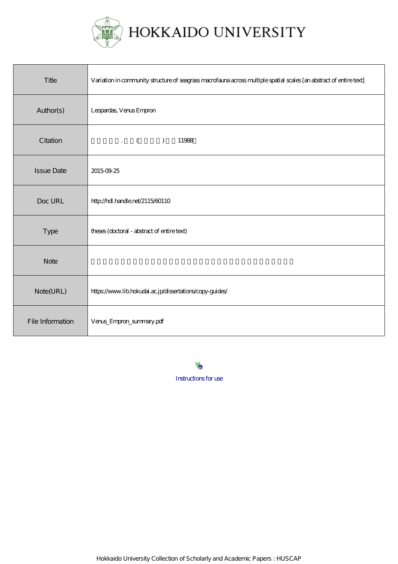

HOKKAIDO UNIVERSITY

| Title             | Variation in community structure of seagrass macrofauna across multiple spatial scales [an abstract of entire text] |
|-------------------|---------------------------------------------------------------------------------------------------------------------|
| Author(s)         | Leopardas, Venus Empron                                                                                             |
| Citation          | $\mathcal{L}$ (<br>$\lambda$<br>11988                                                                               |
| <b>Issue Date</b> | 20150925                                                                                                            |
| Doc URL           | http://hdl.handle.net/2115/60110                                                                                    |
| Type              | theses (doctoral - abstract of entire text)                                                                         |
| <b>Note</b>       |                                                                                                                     |
| Note(URL)         | https://www.lib.hokudai.ac.jp/dissertations/copy-guides/                                                            |
| File Information  | Verus_Empron_summary.pdf                                                                                            |

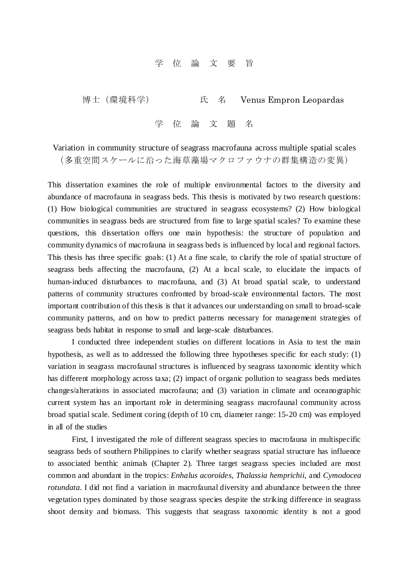## 学 位 論 文 要 旨

博士(環境科学) 氏 名 Venus Empron Leopardas

学 位 論 文 題 名

Variation in community structure of seagrass macrofauna across multiple spatial scales (多重空間スケールに沿った海草藻場マクロファウナの群集構造の変異)

This dissertation examines the role of multiple environmental factors to the diversity and abundance of macrofauna in seagrass beds. This thesis is motivated by two research questions: (1) How biological communities are structured in seagrass ecosystems? (2) How biological communities in seagrass beds are structured from fine to large spatial scales? To examine these questions, this dissertation offers one main hypothesis: the structure of population and community dynamics of macrofauna in seagrass beds is influenced by local and regional factors. This thesis has three specific goals: (1) At a fine scale, to clarify the role of spatial structure of seagrass beds affecting the macrofauna, (2) At a local scale, to elucidate the impacts of human-induced disturbances to macrofauna, and (3) At broad spatial scale, to understand patterns of community structures confronted by broad-scale environmental factors. The most important contribution of this thesis is that it advances our understanding on small to broad-scale community patterns, and on how to predict patterns necessary for management strategies of seagrass beds habitat in response to small and large-scale disturbances.

I conducted three independent studies on different locations in Asia to test the main hypothesis, as well as to addressed the following three hypotheses specific for each study: (1) variation in seagrass macrofaunal structures is influenced by seagrass taxonomic identity which has different morphology across taxa; (2) impact of organic pollution to seagrass beds mediates changes/alterations in associated macrofauna; and (3) variation in climate and oceanographic current system has an important role in determining seagrass macrofaunal community across broad spatial scale. Sediment coring (depth of 10 cm, diameter range: 15-20 cm) was employed in all of the studies

First, I investigated the role of different seagrass species to macrofauna in multispecific seagrass beds of southern Philippines to clarify whether seagrass spatial structure has influence to associated benthic animals (Chapter 2). Three target seagrass species included are most common and abundant in the tropics: *Enhalus acoroides, Thalassia hemprichii*, and *Cymodocea rotundata*. I did not find a variation in macrofaunal diversity and abundance between the three vegetation types dominated by those seagrass species despite the striking difference in seagrass shoot density and biomass. This suggests that seagrass taxonomic identity is not a good